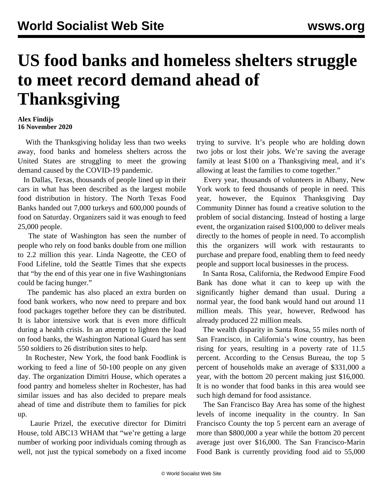## **US food banks and homeless shelters struggle to meet record demand ahead of Thanksgiving**

## **Alex Findijs 16 November 2020**

 With the Thanksgiving holiday less than two weeks away, food banks and homeless shelters across the United States are struggling to meet the growing demand caused by the COVID-19 pandemic.

 In Dallas, Texas, thousands of people lined up in their cars in what has been described as the largest mobile food distribution in history. The North Texas Food Banks handed out 7,000 turkeys and 600,000 pounds of food on Saturday. Organizers said it was enough to feed 25,000 people.

 The state of Washington has seen the number of people who rely on food banks double from one million to 2.2 million this year. Linda Nageotte, the CEO of Food Lifeline, told the Seattle Times that she expects that "by the end of this year one in five Washingtonians could be facing hunger."

 The pandemic has also placed an extra burden on food bank workers, who now need to prepare and box food packages together before they can be distributed. It is labor intensive work that is even more difficult during a health crisis. In an attempt to lighten the load on food banks, the Washington National Guard has sent 550 soldiers to 26 distribution sites to help.

 In Rochester, New York, the food bank Foodlink is working to feed a line of 50-100 people on any given day. The organization Dimitri House, which operates a food pantry and homeless shelter in Rochester, has had similar issues and has also decided to prepare meals ahead of time and distribute them to families for pick up.

 Laurie Prizel, the executive director for Dimitri House, told ABC13 WHAM that "we're getting a large number of working poor individuals coming through as well, not just the typical somebody on a fixed income

trying to survive. It's people who are holding down two jobs or lost their jobs. We're saving the average family at least \$100 on a Thanksgiving meal, and it's allowing at least the families to come together."

 Every year, thousands of volunteers in Albany, New York work to feed thousands of people in need. This year, however, the Equinox Thanksgiving Day Community Dinner has found a creative solution to the problem of social distancing. Instead of hosting a large event, the organization raised \$100,000 to deliver meals directly to the homes of people in need. To accomplish this the organizers will work with restaurants to purchase and prepare food, enabling them to feed needy people and support local businesses in the process.

 In Santa Rosa, California, the Redwood Empire Food Bank has done what it can to keep up with the significantly higher demand than usual. During a normal year, the food bank would hand out around 11 million meals. This year, however, Redwood has already produced 22 million meals.

 The wealth disparity in Santa Rosa, 55 miles north of San Francisco, in California's wine country, has been rising for years, resulting in a poverty rate of 11.5 percent. According to the Census Bureau, the top 5 percent of households make an average of \$331,000 a year, with the bottom 20 percent making just \$16,000. It is no wonder that food banks in this area would see such high demand for food assistance.

 The San Francisco Bay Area has some of the highest levels of income inequality in the country. In San Francisco County the top 5 percent earn an average of more than \$800,000 a year while the bottom 20 percent average just over \$16,000. The San Francisco-Marin Food Bank is currently providing food aid to 55,000